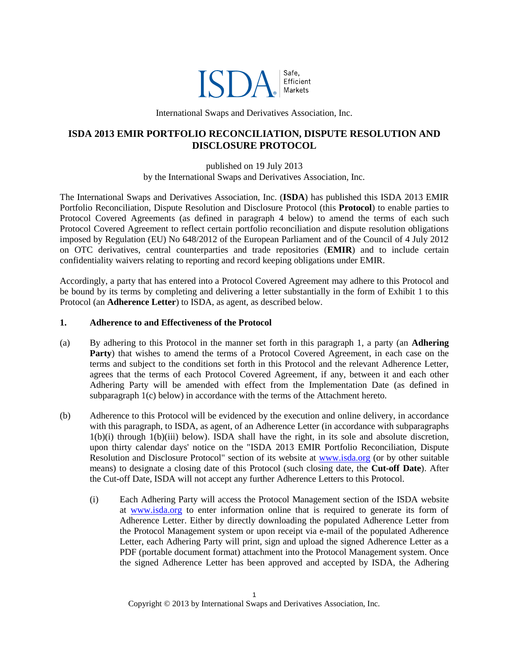

International Swaps and Derivatives Association, Inc.

# **ISDA 2013 EMIR PORTFOLIO RECONCILIATION, DISPUTE RESOLUTION AND DISCLOSURE PROTOCOL**

published on 19 July 2013 by the International Swaps and Derivatives Association, Inc.

The International Swaps and Derivatives Association, Inc. (**ISDA**) has published this ISDA 2013 EMIR Portfolio Reconciliation, Dispute Resolution and Disclosure Protocol (this **Protocol**) to enable parties to Protocol Covered Agreements (as defined in paragraph 4 below) to amend the terms of each such Protocol Covered Agreement to reflect certain portfolio reconciliation and dispute resolution obligations imposed by Regulation (EU) No 648/2012 of the European Parliament and of the Council of 4 July 2012 on OTC derivatives, central counterparties and trade repositories (**EMIR**) and to include certain confidentiality waivers relating to reporting and record keeping obligations under EMIR.

Accordingly, a party that has entered into a Protocol Covered Agreement may adhere to this Protocol and be bound by its terms by completing and delivering a letter substantially in the form of Exhibit 1 to this Protocol (an **Adherence Letter**) to ISDA, as agent, as described below.

#### **1. Adherence to and Effectiveness of the Protocol**

- (a) By adhering to this Protocol in the manner set forth in this paragraph 1, a party (an **Adhering Party**) that wishes to amend the terms of a Protocol Covered Agreement, in each case on the terms and subject to the conditions set forth in this Protocol and the relevant Adherence Letter, agrees that the terms of each Protocol Covered Agreement, if any, between it and each other Adhering Party will be amended with effect from the Implementation Date (as defined in subparagraph 1(c) below) in accordance with the terms of the Attachment hereto.
- (b) Adherence to this Protocol will be evidenced by the execution and online delivery, in accordance with this paragraph, to ISDA, as agent, of an Adherence Letter (in accordance with subparagraphs 1(b)(i) through 1(b)(iii) below). ISDA shall have the right, in its sole and absolute discretion, upon thirty calendar days' notice on the "ISDA 2013 EMIR Portfolio Reconciliation, Dispute Resolution and Disclosure Protocol" section of its website at [www.isda.org](http://www.isda.org/) (or by other suitable means) to designate a closing date of this Protocol (such closing date, the **Cut-off Date**). After the Cut-off Date, ISDA will not accept any further Adherence Letters to this Protocol.
	- (i) Each Adhering Party will access the Protocol Management section of the ISDA website at [www.isda.org](http://www.isda.org/) to enter information online that is required to generate its form of Adherence Letter. Either by directly downloading the populated Adherence Letter from the Protocol Management system or upon receipt via e-mail of the populated Adherence Letter, each Adhering Party will print, sign and upload the signed Adherence Letter as a PDF (portable document format) attachment into the Protocol Management system. Once the signed Adherence Letter has been approved and accepted by ISDA, the Adhering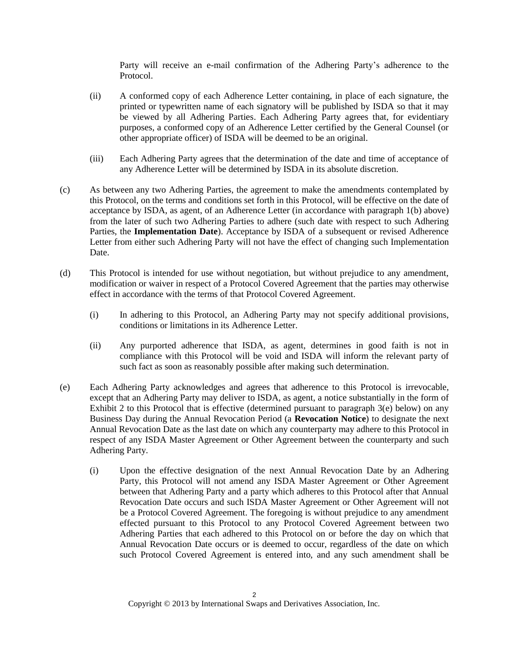Party will receive an e-mail confirmation of the Adhering Party's adherence to the Protocol.

- (ii) A conformed copy of each Adherence Letter containing, in place of each signature, the printed or typewritten name of each signatory will be published by ISDA so that it may be viewed by all Adhering Parties. Each Adhering Party agrees that, for evidentiary purposes, a conformed copy of an Adherence Letter certified by the General Counsel (or other appropriate officer) of ISDA will be deemed to be an original.
- (iii) Each Adhering Party agrees that the determination of the date and time of acceptance of any Adherence Letter will be determined by ISDA in its absolute discretion.
- (c) As between any two Adhering Parties, the agreement to make the amendments contemplated by this Protocol, on the terms and conditions set forth in this Protocol, will be effective on the date of acceptance by ISDA, as agent, of an Adherence Letter (in accordance with paragraph 1(b) above) from the later of such two Adhering Parties to adhere (such date with respect to such Adhering Parties, the **Implementation Date**). Acceptance by ISDA of a subsequent or revised Adherence Letter from either such Adhering Party will not have the effect of changing such Implementation Date.
- (d) This Protocol is intended for use without negotiation, but without prejudice to any amendment, modification or waiver in respect of a Protocol Covered Agreement that the parties may otherwise effect in accordance with the terms of that Protocol Covered Agreement.
	- (i) In adhering to this Protocol, an Adhering Party may not specify additional provisions, conditions or limitations in its Adherence Letter.
	- (ii) Any purported adherence that ISDA, as agent, determines in good faith is not in compliance with this Protocol will be void and ISDA will inform the relevant party of such fact as soon as reasonably possible after making such determination.
- (e) Each Adhering Party acknowledges and agrees that adherence to this Protocol is irrevocable, except that an Adhering Party may deliver to ISDA, as agent, a notice substantially in the form of Exhibit 2 to this Protocol that is effective (determined pursuant to paragraph  $3(e)$  below) on any Business Day during the Annual Revocation Period (a **Revocation Notice**) to designate the next Annual Revocation Date as the last date on which any counterparty may adhere to this Protocol in respect of any ISDA Master Agreement or Other Agreement between the counterparty and such Adhering Party.
	- (i) Upon the effective designation of the next Annual Revocation Date by an Adhering Party, this Protocol will not amend any ISDA Master Agreement or Other Agreement between that Adhering Party and a party which adheres to this Protocol after that Annual Revocation Date occurs and such ISDA Master Agreement or Other Agreement will not be a Protocol Covered Agreement. The foregoing is without prejudice to any amendment effected pursuant to this Protocol to any Protocol Covered Agreement between two Adhering Parties that each adhered to this Protocol on or before the day on which that Annual Revocation Date occurs or is deemed to occur, regardless of the date on which such Protocol Covered Agreement is entered into, and any such amendment shall be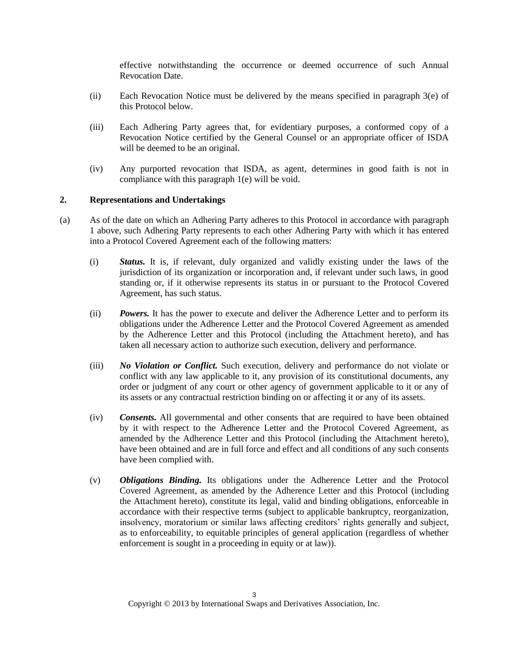effective notwithstanding the occurrence or deemed occurrence of such Annual Revocation Date.

- (ii) Each Revocation Notice must be delivered by the means specified in paragraph  $3(e)$  of this Protocol below.
- (iii) Each Adhering Party agrees that, for evidentiary purposes, a conformed copy of a Revocation Notice certified by the General Counsel or an appropriate officer of ISDA will be deemed to be an original.
- (iv) Any purported revocation that ISDA, as agent, determines in good faith is not in compliance with this paragraph 1(e) will be void.

#### **2. Representations and Undertakings**

- (a) As of the date on which an Adhering Party adheres to this Protocol in accordance with paragraph 1 above, such Adhering Party represents to each other Adhering Party with which it has entered into a Protocol Covered Agreement each of the following matters:
	- (i) *Status.* It is, if relevant, duly organized and validly existing under the laws of the jurisdiction of its organization or incorporation and, if relevant under such laws, in good standing or, if it otherwise represents its status in or pursuant to the Protocol Covered Agreement, has such status.
	- (ii) *Powers.* It has the power to execute and deliver the Adherence Letter and to perform its obligations under the Adherence Letter and the Protocol Covered Agreement as amended by the Adherence Letter and this Protocol (including the Attachment hereto), and has taken all necessary action to authorize such execution, delivery and performance.
	- (iii) *No Violation or Conflict.* Such execution, delivery and performance do not violate or conflict with any law applicable to it, any provision of its constitutional documents, any order or judgment of any court or other agency of government applicable to it or any of its assets or any contractual restriction binding on or affecting it or any of its assets.
	- (iv) *Consents.* All governmental and other consents that are required to have been obtained by it with respect to the Adherence Letter and the Protocol Covered Agreement, as amended by the Adherence Letter and this Protocol (including the Attachment hereto), have been obtained and are in full force and effect and all conditions of any such consents have been complied with.
	- (v) *Obligations Binding.* Its obligations under the Adherence Letter and the Protocol Covered Agreement, as amended by the Adherence Letter and this Protocol (including the Attachment hereto), constitute its legal, valid and binding obligations, enforceable in accordance with their respective terms (subject to applicable bankruptcy, reorganization, insolvency, moratorium or similar laws affecting creditors' rights generally and subject, as to enforceability, to equitable principles of general application (regardless of whether enforcement is sought in a proceeding in equity or at law)).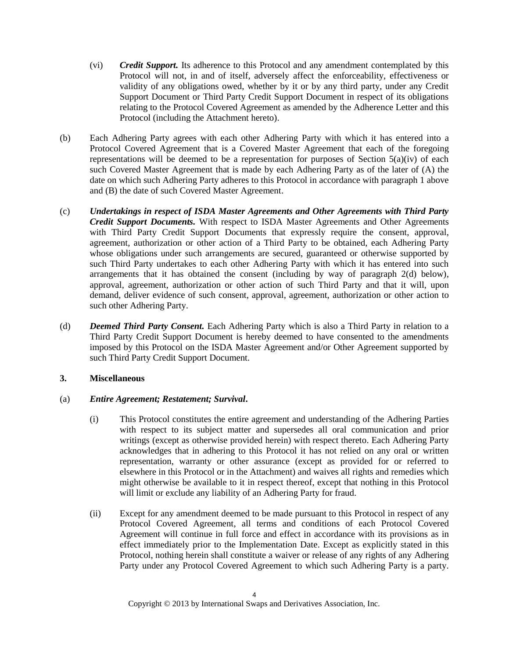- (vi) *Credit Support.* Its adherence to this Protocol and any amendment contemplated by this Protocol will not, in and of itself, adversely affect the enforceability, effectiveness or validity of any obligations owed, whether by it or by any third party, under any Credit Support Document or Third Party Credit Support Document in respect of its obligations relating to the Protocol Covered Agreement as amended by the Adherence Letter and this Protocol (including the Attachment hereto).
- (b) Each Adhering Party agrees with each other Adhering Party with which it has entered into a Protocol Covered Agreement that is a Covered Master Agreement that each of the foregoing representations will be deemed to be a representation for purposes of Section  $5(a)(iv)$  of each such Covered Master Agreement that is made by each Adhering Party as of the later of (A) the date on which such Adhering Party adheres to this Protocol in accordance with paragraph 1 above and (B) the date of such Covered Master Agreement.
- (c) *Undertakings in respect of ISDA Master Agreements and Other Agreements with Third Party Credit Support Documents.* With respect to ISDA Master Agreements and Other Agreements with Third Party Credit Support Documents that expressly require the consent, approval, agreement, authorization or other action of a Third Party to be obtained, each Adhering Party whose obligations under such arrangements are secured, guaranteed or otherwise supported by such Third Party undertakes to each other Adhering Party with which it has entered into such arrangements that it has obtained the consent (including by way of paragraph 2(d) below), approval, agreement, authorization or other action of such Third Party and that it will, upon demand, deliver evidence of such consent, approval, agreement, authorization or other action to such other Adhering Party.
- (d) *Deemed Third Party Consent.* Each Adhering Party which is also a Third Party in relation to a Third Party Credit Support Document is hereby deemed to have consented to the amendments imposed by this Protocol on the ISDA Master Agreement and/or Other Agreement supported by such Third Party Credit Support Document.

# **3. Miscellaneous**

### (a) *Entire Agreement; Restatement; Survival***.**

- (i) This Protocol constitutes the entire agreement and understanding of the Adhering Parties with respect to its subject matter and supersedes all oral communication and prior writings (except as otherwise provided herein) with respect thereto. Each Adhering Party acknowledges that in adhering to this Protocol it has not relied on any oral or written representation, warranty or other assurance (except as provided for or referred to elsewhere in this Protocol or in the Attachment) and waives all rights and remedies which might otherwise be available to it in respect thereof, except that nothing in this Protocol will limit or exclude any liability of an Adhering Party for fraud.
- (ii) Except for any amendment deemed to be made pursuant to this Protocol in respect of any Protocol Covered Agreement, all terms and conditions of each Protocol Covered Agreement will continue in full force and effect in accordance with its provisions as in effect immediately prior to the Implementation Date. Except as explicitly stated in this Protocol, nothing herein shall constitute a waiver or release of any rights of any Adhering Party under any Protocol Covered Agreement to which such Adhering Party is a party.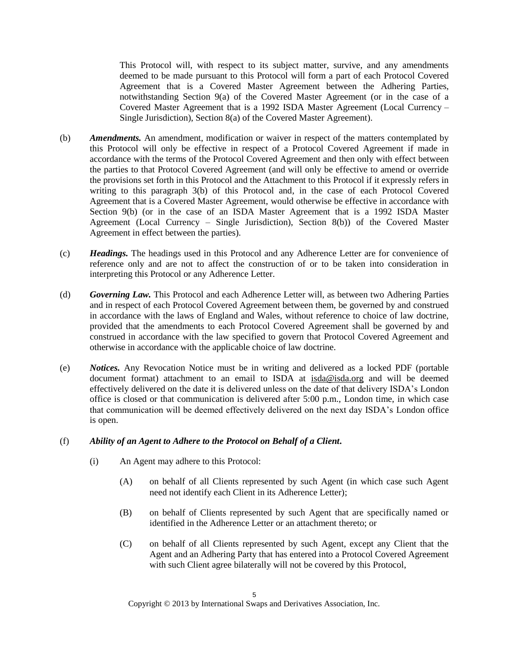This Protocol will, with respect to its subject matter, survive, and any amendments deemed to be made pursuant to this Protocol will form a part of each Protocol Covered Agreement that is a Covered Master Agreement between the Adhering Parties, notwithstanding Section 9(a) of the Covered Master Agreement (or in the case of a Covered Master Agreement that is a 1992 ISDA Master Agreement (Local Currency – Single Jurisdiction), Section 8(a) of the Covered Master Agreement).

- (b) *Amendments.* An amendment, modification or waiver in respect of the matters contemplated by this Protocol will only be effective in respect of a Protocol Covered Agreement if made in accordance with the terms of the Protocol Covered Agreement and then only with effect between the parties to that Protocol Covered Agreement (and will only be effective to amend or override the provisions set forth in this Protocol and the Attachment to this Protocol if it expressly refers in writing to this paragraph 3(b) of this Protocol and, in the case of each Protocol Covered Agreement that is a Covered Master Agreement, would otherwise be effective in accordance with Section 9(b) (or in the case of an ISDA Master Agreement that is a 1992 ISDA Master Agreement (Local Currency – Single Jurisdiction), Section 8(b)) of the Covered Master Agreement in effect between the parties).
- (c) *Headings.* The headings used in this Protocol and any Adherence Letter are for convenience of reference only and are not to affect the construction of or to be taken into consideration in interpreting this Protocol or any Adherence Letter.
- (d) *Governing Law.* This Protocol and each Adherence Letter will, as between two Adhering Parties and in respect of each Protocol Covered Agreement between them, be governed by and construed in accordance with the laws of England and Wales, without reference to choice of law doctrine, provided that the amendments to each Protocol Covered Agreement shall be governed by and construed in accordance with the law specified to govern that Protocol Covered Agreement and otherwise in accordance with the applicable choice of law doctrine.
- (e) *Notices.* Any Revocation Notice must be in writing and delivered as a locked PDF (portable document format) attachment to an email to ISDA at isda@isda.org and will be deemed effectively delivered on the date it is delivered unless on the date of that delivery ISDA's London office is closed or that communication is delivered after 5:00 p.m., London time, in which case that communication will be deemed effectively delivered on the next day ISDA's London office is open.

### (f) *Ability of an Agent to Adhere to the Protocol on Behalf of a Client***.**

- (i) An Agent may adhere to this Protocol:
	- (A) on behalf of all Clients represented by such Agent (in which case such Agent need not identify each Client in its Adherence Letter);
	- (B) on behalf of Clients represented by such Agent that are specifically named or identified in the Adherence Letter or an attachment thereto; or
	- (C) on behalf of all Clients represented by such Agent, except any Client that the Agent and an Adhering Party that has entered into a Protocol Covered Agreement with such Client agree bilaterally will not be covered by this Protocol,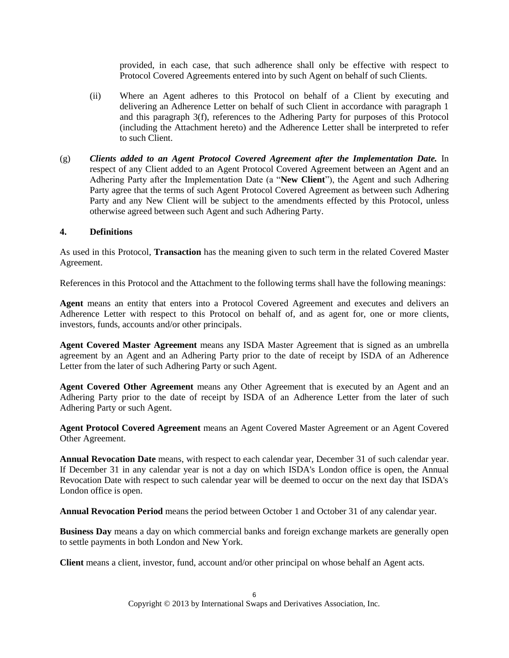provided, in each case, that such adherence shall only be effective with respect to Protocol Covered Agreements entered into by such Agent on behalf of such Clients.

- (ii) Where an Agent adheres to this Protocol on behalf of a Client by executing and delivering an Adherence Letter on behalf of such Client in accordance with paragraph 1 and this paragraph 3(f), references to the Adhering Party for purposes of this Protocol (including the Attachment hereto) and the Adherence Letter shall be interpreted to refer to such Client.
- (g) *Clients added to an Agent Protocol Covered Agreement after the Implementation Date.* In respect of any Client added to an Agent Protocol Covered Agreement between an Agent and an Adhering Party after the Implementation Date (a "**New Client**"), the Agent and such Adhering Party agree that the terms of such Agent Protocol Covered Agreement as between such Adhering Party and any New Client will be subject to the amendments effected by this Protocol, unless otherwise agreed between such Agent and such Adhering Party.

### **4. Definitions**

As used in this Protocol, **Transaction** has the meaning given to such term in the related Covered Master Agreement.

References in this Protocol and the Attachment to the following terms shall have the following meanings:

**Agent** means an entity that enters into a Protocol Covered Agreement and executes and delivers an Adherence Letter with respect to this Protocol on behalf of, and as agent for, one or more clients, investors, funds, accounts and/or other principals.

**Agent Covered Master Agreement** means any ISDA Master Agreement that is signed as an umbrella agreement by an Agent and an Adhering Party prior to the date of receipt by ISDA of an Adherence Letter from the later of such Adhering Party or such Agent.

**Agent Covered Other Agreement** means any Other Agreement that is executed by an Agent and an Adhering Party prior to the date of receipt by ISDA of an Adherence Letter from the later of such Adhering Party or such Agent.

**Agent Protocol Covered Agreement** means an Agent Covered Master Agreement or an Agent Covered Other Agreement.

**Annual Revocation Date** means, with respect to each calendar year, December 31 of such calendar year. If December 31 in any calendar year is not a day on which ISDA's London office is open, the Annual Revocation Date with respect to such calendar year will be deemed to occur on the next day that ISDA's London office is open.

**Annual Revocation Period** means the period between October 1 and October 31 of any calendar year.

**Business Day** means a day on which commercial banks and foreign exchange markets are generally open to settle payments in both London and New York.

**Client** means a client, investor, fund, account and/or other principal on whose behalf an Agent acts.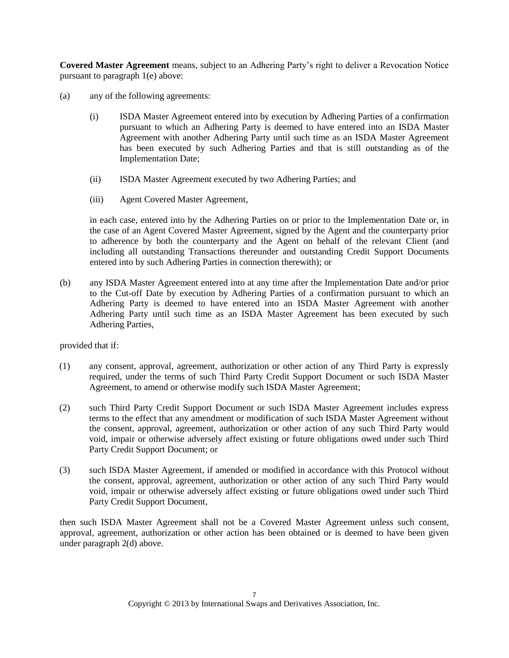**Covered Master Agreement** means, subject to an Adhering Party's right to deliver a Revocation Notice pursuant to paragraph 1(e) above:

- (a) any of the following agreements:
	- (i) ISDA Master Agreement entered into by execution by Adhering Parties of a confirmation pursuant to which an Adhering Party is deemed to have entered into an ISDA Master Agreement with another Adhering Party until such time as an ISDA Master Agreement has been executed by such Adhering Parties and that is still outstanding as of the Implementation Date;
	- (ii) ISDA Master Agreement executed by two Adhering Parties; and
	- (iii) Agent Covered Master Agreement,

in each case, entered into by the Adhering Parties on or prior to the Implementation Date or, in the case of an Agent Covered Master Agreement, signed by the Agent and the counterparty prior to adherence by both the counterparty and the Agent on behalf of the relevant Client (and including all outstanding Transactions thereunder and outstanding Credit Support Documents entered into by such Adhering Parties in connection therewith); or

(b) any ISDA Master Agreement entered into at any time after the Implementation Date and/or prior to the Cut-off Date by execution by Adhering Parties of a confirmation pursuant to which an Adhering Party is deemed to have entered into an ISDA Master Agreement with another Adhering Party until such time as an ISDA Master Agreement has been executed by such Adhering Parties,

provided that if:

- (1) any consent, approval, agreement, authorization or other action of any Third Party is expressly required, under the terms of such Third Party Credit Support Document or such ISDA Master Agreement, to amend or otherwise modify such ISDA Master Agreement;
- (2) such Third Party Credit Support Document or such ISDA Master Agreement includes express terms to the effect that any amendment or modification of such ISDA Master Agreement without the consent, approval, agreement, authorization or other action of any such Third Party would void, impair or otherwise adversely affect existing or future obligations owed under such Third Party Credit Support Document; or
- (3) such ISDA Master Agreement, if amended or modified in accordance with this Protocol without the consent, approval, agreement, authorization or other action of any such Third Party would void, impair or otherwise adversely affect existing or future obligations owed under such Third Party Credit Support Document,

then such ISDA Master Agreement shall not be a Covered Master Agreement unless such consent, approval, agreement, authorization or other action has been obtained or is deemed to have been given under paragraph 2(d) above.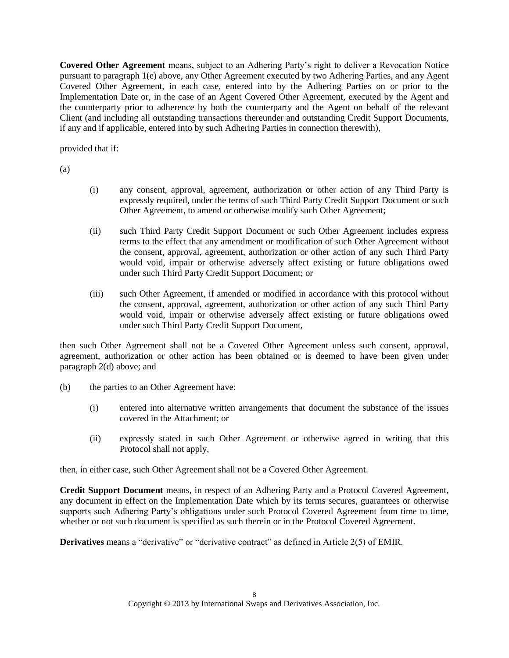**Covered Other Agreement** means, subject to an Adhering Party's right to deliver a Revocation Notice pursuant to paragraph 1(e) above, any Other Agreement executed by two Adhering Parties, and any Agent Covered Other Agreement, in each case, entered into by the Adhering Parties on or prior to the Implementation Date or, in the case of an Agent Covered Other Agreement, executed by the Agent and the counterparty prior to adherence by both the counterparty and the Agent on behalf of the relevant Client (and including all outstanding transactions thereunder and outstanding Credit Support Documents, if any and if applicable, entered into by such Adhering Parties in connection therewith),

provided that if:

(a)

- (i) any consent, approval, agreement, authorization or other action of any Third Party is expressly required, under the terms of such Third Party Credit Support Document or such Other Agreement, to amend or otherwise modify such Other Agreement;
- (ii) such Third Party Credit Support Document or such Other Agreement includes express terms to the effect that any amendment or modification of such Other Agreement without the consent, approval, agreement, authorization or other action of any such Third Party would void, impair or otherwise adversely affect existing or future obligations owed under such Third Party Credit Support Document; or
- (iii) such Other Agreement, if amended or modified in accordance with this protocol without the consent, approval, agreement, authorization or other action of any such Third Party would void, impair or otherwise adversely affect existing or future obligations owed under such Third Party Credit Support Document,

then such Other Agreement shall not be a Covered Other Agreement unless such consent, approval, agreement, authorization or other action has been obtained or is deemed to have been given under paragraph 2(d) above; and

- (b) the parties to an Other Agreement have:
	- (i) entered into alternative written arrangements that document the substance of the issues covered in the Attachment; or
	- (ii) expressly stated in such Other Agreement or otherwise agreed in writing that this Protocol shall not apply,

then, in either case, such Other Agreement shall not be a Covered Other Agreement.

**Credit Support Document** means, in respect of an Adhering Party and a Protocol Covered Agreement, any document in effect on the Implementation Date which by its terms secures, guarantees or otherwise supports such Adhering Party's obligations under such Protocol Covered Agreement from time to time, whether or not such document is specified as such therein or in the Protocol Covered Agreement.

**Derivatives** means a "derivative" or "derivative contract" as defined in Article 2(5) of EMIR.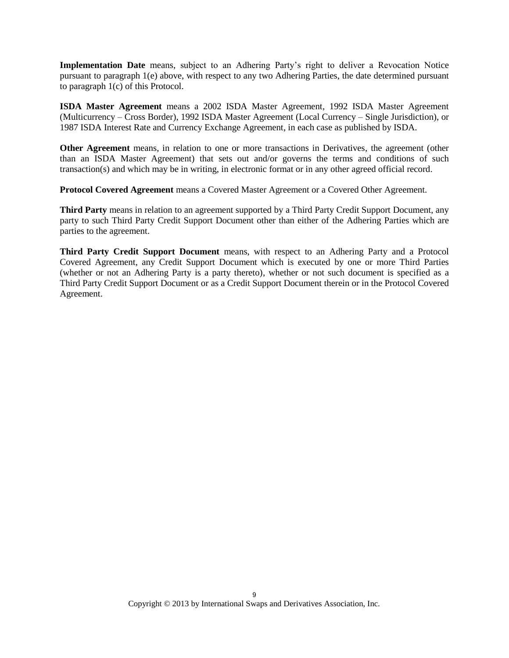**Implementation Date** means, subject to an Adhering Party's right to deliver a Revocation Notice pursuant to paragraph 1(e) above, with respect to any two Adhering Parties, the date determined pursuant to paragraph 1(c) of this Protocol.

**ISDA Master Agreement** means a 2002 ISDA Master Agreement, 1992 ISDA Master Agreement (Multicurrency – Cross Border), 1992 ISDA Master Agreement (Local Currency – Single Jurisdiction), or 1987 ISDA Interest Rate and Currency Exchange Agreement, in each case as published by ISDA.

**Other Agreement** means, in relation to one or more transactions in Derivatives, the agreement (other than an ISDA Master Agreement) that sets out and/or governs the terms and conditions of such transaction(s) and which may be in writing, in electronic format or in any other agreed official record.

**Protocol Covered Agreement** means a Covered Master Agreement or a Covered Other Agreement.

**Third Party** means in relation to an agreement supported by a Third Party Credit Support Document, any party to such Third Party Credit Support Document other than either of the Adhering Parties which are parties to the agreement.

**Third Party Credit Support Document** means, with respect to an Adhering Party and a Protocol Covered Agreement, any Credit Support Document which is executed by one or more Third Parties (whether or not an Adhering Party is a party thereto), whether or not such document is specified as a Third Party Credit Support Document or as a Credit Support Document therein or in the Protocol Covered Agreement.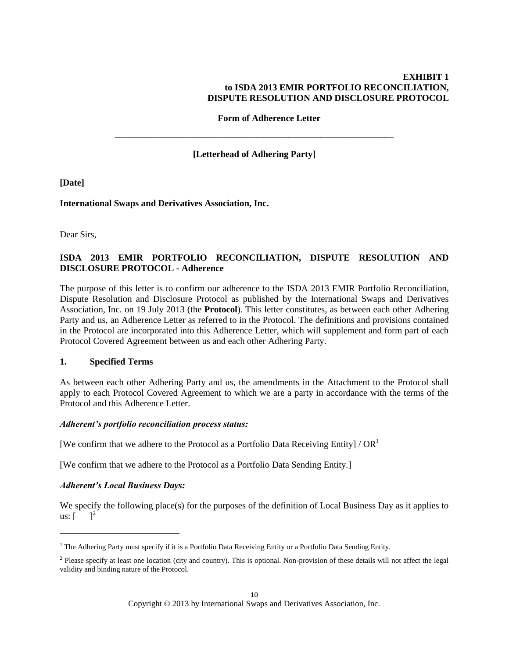### **EXHIBIT 1 to ISDA 2013 EMIR PORTFOLIO RECONCILIATION, DISPUTE RESOLUTION AND DISCLOSURE PROTOCOL**

**Form of Adherence Letter**

**[Letterhead of Adhering Party]**

**\_\_\_\_\_\_\_\_\_\_\_\_\_\_\_\_\_\_\_\_\_\_\_\_\_\_\_\_\_\_\_\_\_\_\_\_\_\_\_\_\_\_\_\_\_\_\_\_\_\_\_\_\_\_\_\_\_\_\_\_\_**

**[Date]**

**International Swaps and Derivatives Association, Inc.**

Dear Sirs,

# **ISDA 2013 EMIR PORTFOLIO RECONCILIATION, DISPUTE RESOLUTION AND DISCLOSURE PROTOCOL - Adherence**

The purpose of this letter is to confirm our adherence to the ISDA 2013 EMIR Portfolio Reconciliation, Dispute Resolution and Disclosure Protocol as published by the International Swaps and Derivatives Association, Inc. on 19 July 2013 (the **Protocol**). This letter constitutes, as between each other Adhering Party and us, an Adherence Letter as referred to in the Protocol. The definitions and provisions contained in the Protocol are incorporated into this Adherence Letter, which will supplement and form part of each Protocol Covered Agreement between us and each other Adhering Party.

#### **1. Specified Terms**

As between each other Adhering Party and us, the amendments in the Attachment to the Protocol shall apply to each Protocol Covered Agreement to which we are a party in accordance with the terms of the Protocol and this Adherence Letter.

### *Adherent's portfolio reconciliation process status:*

[We confirm that we adhere to the Protocol as a Portfolio Data Receiving Entity] /  $OR<sup>1</sup>$ 

[We confirm that we adhere to the Protocol as a Portfolio Data Sending Entity.]

### *Adherent's Local Business Days:*

 $\overline{a}$ 

We specify the following place(s) for the purposes of the definition of Local Business Day as it applies to us:  $\begin{bmatrix} 1 \end{bmatrix}^2$ 

<sup>&</sup>lt;sup>1</sup> The Adhering Party must specify if it is a Portfolio Data Receiving Entity or a Portfolio Data Sending Entity.

<sup>&</sup>lt;sup>2</sup> Please specify at least one location (city and country). This is optional. Non-provision of these details will not affect the legal validity and binding nature of the Protocol.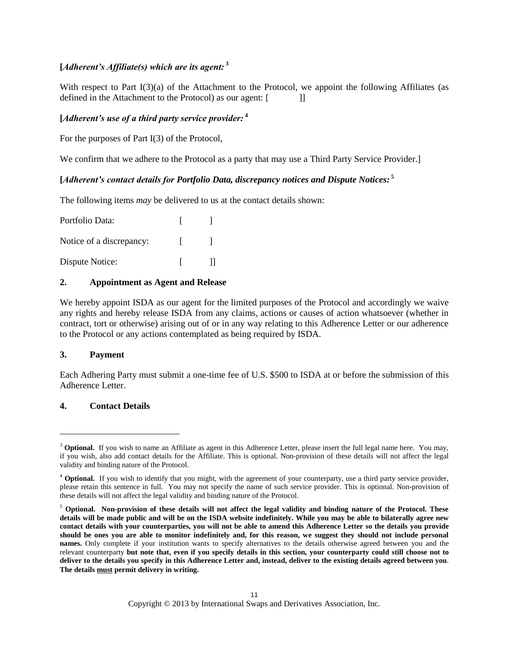# **[***Adherent's Affiliate(s) which are its agent:* **<sup>3</sup>**

With respect to Part I(3)(a) of the Attachment to the Protocol, we appoint the following Affiliates (as defined in the Attachment to the Protocol) as our agent: [

### **[***Adherent's use of a third party service provider:* **<sup>4</sup>**

For the purposes of Part I(3) of the Protocol,

We confirm that we adhere to the Protocol as a party that may use a Third Party Service Provider.]

## **[***Adherent's contact details for Portfolio Data, discrepancy notices and Dispute Notices:* **<sup>5</sup>**

The following items *may* be delivered to us at the contact details shown:

| Portfolio Data:          |              |
|--------------------------|--------------|
| Notice of a discrepancy: |              |
| Dispute Notice:          | $\mathbf{H}$ |

#### **2. Appointment as Agent and Release**

We hereby appoint ISDA as our agent for the limited purposes of the Protocol and accordingly we waive any rights and hereby release ISDA from any claims, actions or causes of action whatsoever (whether in contract, tort or otherwise) arising out of or in any way relating to this Adherence Letter or our adherence to the Protocol or any actions contemplated as being required by ISDA.

#### **3. Payment**

 $\overline{\phantom{a}}$ 

Each Adhering Party must submit a one-time fee of U.S. \$500 to ISDA at or before the submission of this Adherence Letter.

### **4. Contact Details**

<sup>&</sup>lt;sup>3</sup> **Optional.** If you wish to name an Affiliate as agent in this Adherence Letter, please insert the full legal name here. You may, if you wish, also add contact details for the Affiliate. This is optional. Non-provision of these details will not affect the legal validity and binding nature of the Protocol.

<sup>&</sup>lt;sup>4</sup> Optional. If you wish to identify that you might, with the agreement of your counterparty, use a third party service provider, please retain this sentence in full. You may not specify the name of such service provider. This is optional. Non-provision of these details will not affect the legal validity and binding nature of the Protocol.

<sup>5</sup> **Optional. Non-provision of these details will not affect the legal validity and binding nature of the Protocol. These details will be made public and will be on the ISDA website indefinitely. While you may be able to bilaterally agree new contact details with your counterparties, you will not be able to amend this Adherence Letter so the details you provide should be ones you are able to monitor indefinitely and, for this reason, we suggest they should not include personal names.** Only complete if your institution wants to specify alternatives to the details otherwise agreed between you and the relevant counterparty **but note that, even if you specify details in this section, your counterparty could still choose not to deliver to the details you specify in this Adherence Letter and, instead, deliver to the existing details agreed between you**. **The details must permit delivery in writing.**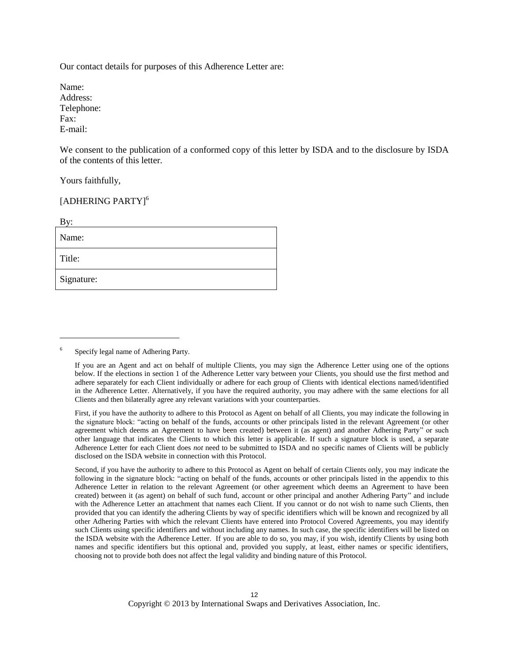Our contact details for purposes of this Adherence Letter are:

Name: Address: Telephone: Fax: E-mail:

We consent to the publication of a conformed copy of this letter by ISDA and to the disclosure by ISDA of the contents of this letter.

Yours faithfully,

l

# [ADHERING PARTY]<sup>6</sup>

| By:        |
|------------|
| Name:      |
| Title:     |
| Signature: |

<sup>6</sup> Specify legal name of Adhering Party.

If you are an Agent and act on behalf of multiple Clients, you may sign the Adherence Letter using one of the options below. If the elections in section 1 of the Adherence Letter vary between your Clients, you should use the first method and adhere separately for each Client individually or adhere for each group of Clients with identical elections named/identified in the Adherence Letter. Alternatively, if you have the required authority, you may adhere with the same elections for all Clients and then bilaterally agree any relevant variations with your counterparties.

First, if you have the authority to adhere to this Protocol as Agent on behalf of all Clients, you may indicate the following in the signature block: "acting on behalf of the funds, accounts or other principals listed in the relevant Agreement (or other agreement which deems an Agreement to have been created) between it (as agent) and another Adhering Party" or such other language that indicates the Clients to which this letter is applicable. If such a signature block is used, a separate Adherence Letter for each Client does *not* need to be submitted to ISDA and no specific names of Clients will be publicly disclosed on the ISDA website in connection with this Protocol.

Second, if you have the authority to adhere to this Protocol as Agent on behalf of certain Clients only, you may indicate the following in the signature block: "acting on behalf of the funds, accounts or other principals listed in the appendix to this Adherence Letter in relation to the relevant Agreement (or other agreement which deems an Agreement to have been created) between it (as agent) on behalf of such fund, account or other principal and another Adhering Party" and include with the Adherence Letter an attachment that names each Client. If you cannot or do not wish to name such Clients, then provided that you can identify the adhering Clients by way of specific identifiers which will be known and recognized by all other Adhering Parties with which the relevant Clients have entered into Protocol Covered Agreements, you may identify such Clients using specific identifiers and without including any names. In such case, the specific identifiers will be listed on the ISDA website with the Adherence Letter. If you are able to do so, you may, if you wish, identify Clients by using both names and specific identifiers but this optional and, provided you supply, at least, either names or specific identifiers, choosing not to provide both does not affect the legal validity and binding nature of this Protocol.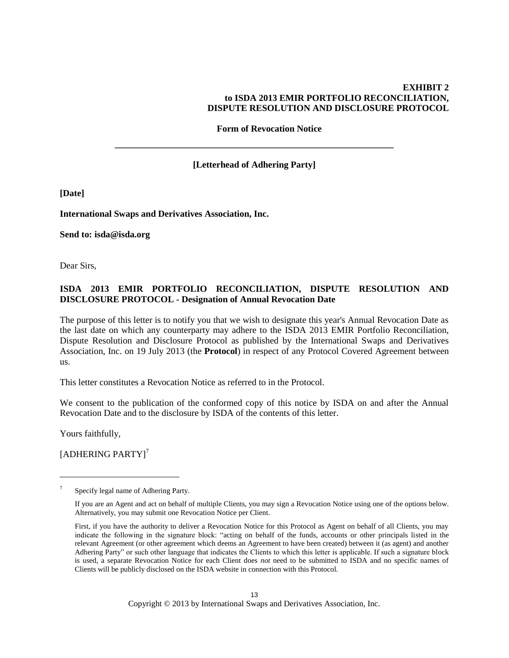### **EXHIBIT 2 to ISDA 2013 EMIR PORTFOLIO RECONCILIATION, DISPUTE RESOLUTION AND DISCLOSURE PROTOCOL**

**Form of Revocation Notice**

**[Letterhead of Adhering Party]**

**\_\_\_\_\_\_\_\_\_\_\_\_\_\_\_\_\_\_\_\_\_\_\_\_\_\_\_\_\_\_\_\_\_\_\_\_\_\_\_\_\_\_\_\_\_\_\_\_\_\_\_\_\_\_\_\_\_\_\_\_\_**

**[Date]**

**International Swaps and Derivatives Association, Inc.**

**Send to: isda@isda.org**

Dear Sirs,

# **ISDA 2013 EMIR PORTFOLIO RECONCILIATION, DISPUTE RESOLUTION AND DISCLOSURE PROTOCOL - Designation of Annual Revocation Date**

The purpose of this letter is to notify you that we wish to designate this year's Annual Revocation Date as the last date on which any counterparty may adhere to the ISDA 2013 EMIR Portfolio Reconciliation, Dispute Resolution and Disclosure Protocol as published by the International Swaps and Derivatives Association, Inc. on 19 July 2013 (the **Protocol**) in respect of any Protocol Covered Agreement between us.

This letter constitutes a Revocation Notice as referred to in the Protocol.

We consent to the publication of the conformed copy of this notice by ISDA on and after the Annual Revocation Date and to the disclosure by ISDA of the contents of this letter.

Yours faithfully,

 $\overline{\phantom{a}}$ 

[ADHERING PARTY]<sup>7</sup>

13 Copyright © 2013 by International Swaps and Derivatives Association, Inc.

<sup>7</sup> Specify legal name of Adhering Party.

If you are an Agent and act on behalf of multiple Clients, you may sign a Revocation Notice using one of the options below. Alternatively, you may submit one Revocation Notice per Client.

First, if you have the authority to deliver a Revocation Notice for this Protocol as Agent on behalf of all Clients, you may indicate the following in the signature block: "acting on behalf of the funds, accounts or other principals listed in the relevant Agreement (or other agreement which deems an Agreement to have been created) between it (as agent) and another Adhering Party" or such other language that indicates the Clients to which this letter is applicable. If such a signature block is used, a separate Revocation Notice for each Client does *not* need to be submitted to ISDA and no specific names of Clients will be publicly disclosed on the ISDA website in connection with this Protocol.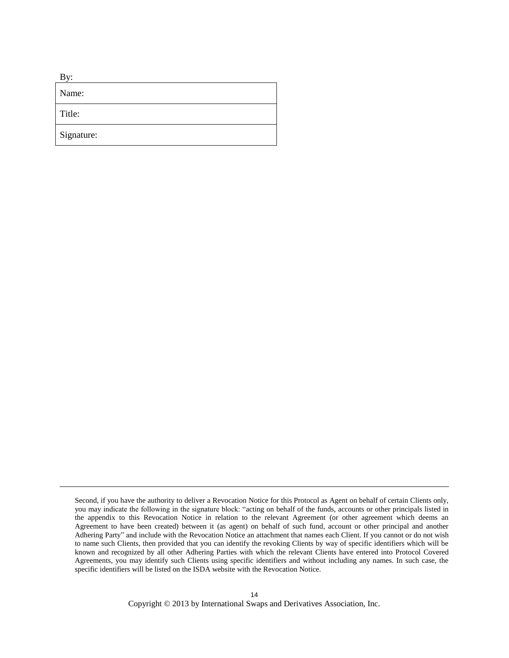| B<br>v:    |
|------------|
| Name:      |
| Title:     |
| Signature: |

 $\overline{\phantom{a}}$ 

Second, if you have the authority to deliver a Revocation Notice for this Protocol as Agent on behalf of certain Clients only, you may indicate the following in the signature block: "acting on behalf of the funds, accounts or other principals listed in the appendix to this Revocation Notice in relation to the relevant Agreement (or other agreement which deems an Agreement to have been created) between it (as agent) on behalf of such fund, account or other principal and another Adhering Party" and include with the Revocation Notice an attachment that names each Client. If you cannot or do not wish to name such Clients, then provided that you can identify the revoking Clients by way of specific identifiers which will be known and recognized by all other Adhering Parties with which the relevant Clients have entered into Protocol Covered Agreements, you may identify such Clients using specific identifiers and without including any names. In such case, the specific identifiers will be listed on the ISDA website with the Revocation Notice.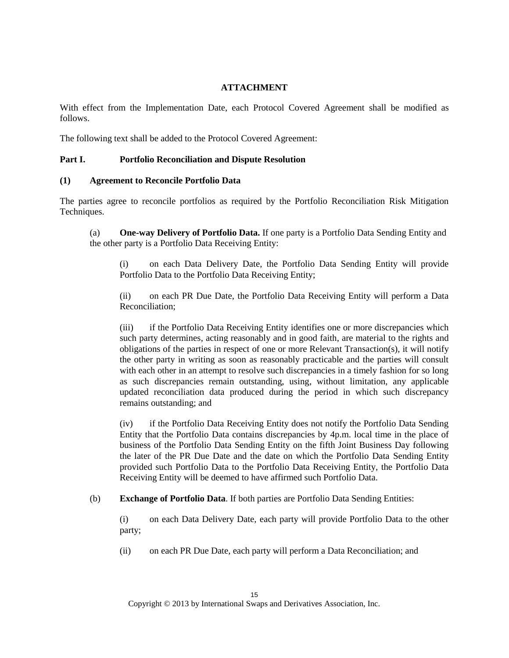### **ATTACHMENT**

With effect from the Implementation Date, each Protocol Covered Agreement shall be modified as follows.

The following text shall be added to the Protocol Covered Agreement:

### **Part I. Portfolio Reconciliation and Dispute Resolution**

### **(1) Agreement to Reconcile Portfolio Data**

The parties agree to reconcile portfolios as required by the Portfolio Reconciliation Risk Mitigation Techniques.

(a) **One-way Delivery of Portfolio Data.** If one party is a Portfolio Data Sending Entity and the other party is a Portfolio Data Receiving Entity:

(i) on each Data Delivery Date, the Portfolio Data Sending Entity will provide Portfolio Data to the Portfolio Data Receiving Entity;

(ii) on each PR Due Date, the Portfolio Data Receiving Entity will perform a Data Reconciliation;

(iii) if the Portfolio Data Receiving Entity identifies one or more discrepancies which such party determines, acting reasonably and in good faith, are material to the rights and obligations of the parties in respect of one or more Relevant Transaction(s), it will notify the other party in writing as soon as reasonably practicable and the parties will consult with each other in an attempt to resolve such discrepancies in a timely fashion for so long as such discrepancies remain outstanding, using, without limitation, any applicable updated reconciliation data produced during the period in which such discrepancy remains outstanding; and

(iv) if the Portfolio Data Receiving Entity does not notify the Portfolio Data Sending Entity that the Portfolio Data contains discrepancies by 4p.m. local time in the place of business of the Portfolio Data Sending Entity on the fifth Joint Business Day following the later of the PR Due Date and the date on which the Portfolio Data Sending Entity provided such Portfolio Data to the Portfolio Data Receiving Entity, the Portfolio Data Receiving Entity will be deemed to have affirmed such Portfolio Data.

(b) **Exchange of Portfolio Data**. If both parties are Portfolio Data Sending Entities:

(i) on each Data Delivery Date, each party will provide Portfolio Data to the other party;

(ii) on each PR Due Date, each party will perform a Data Reconciliation; and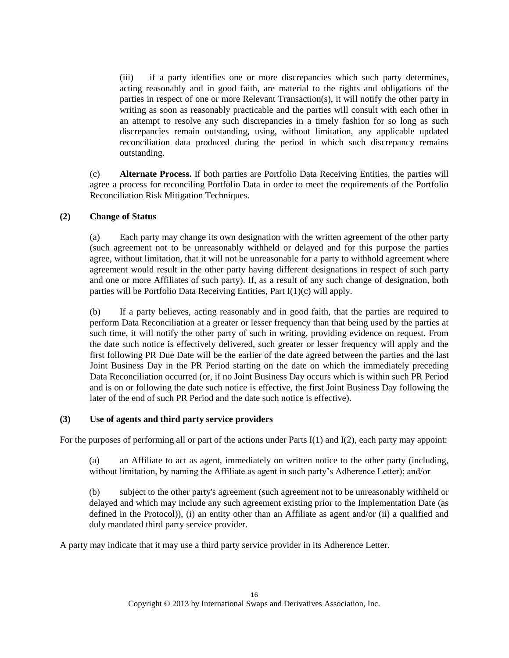(iii) if a party identifies one or more discrepancies which such party determines, acting reasonably and in good faith, are material to the rights and obligations of the parties in respect of one or more Relevant Transaction(s), it will notify the other party in writing as soon as reasonably practicable and the parties will consult with each other in an attempt to resolve any such discrepancies in a timely fashion for so long as such discrepancies remain outstanding, using, without limitation, any applicable updated reconciliation data produced during the period in which such discrepancy remains outstanding.

(c) **Alternate Process.** If both parties are Portfolio Data Receiving Entities, the parties will agree a process for reconciling Portfolio Data in order to meet the requirements of the Portfolio Reconciliation Risk Mitigation Techniques.

## **(2) Change of Status**

(a) Each party may change its own designation with the written agreement of the other party (such agreement not to be unreasonably withheld or delayed and for this purpose the parties agree, without limitation, that it will not be unreasonable for a party to withhold agreement where agreement would result in the other party having different designations in respect of such party and one or more Affiliates of such party). If, as a result of any such change of designation, both parties will be Portfolio Data Receiving Entities, Part I(1)(c) will apply.

(b) If a party believes, acting reasonably and in good faith, that the parties are required to perform Data Reconciliation at a greater or lesser frequency than that being used by the parties at such time, it will notify the other party of such in writing, providing evidence on request. From the date such notice is effectively delivered, such greater or lesser frequency will apply and the first following PR Due Date will be the earlier of the date agreed between the parties and the last Joint Business Day in the PR Period starting on the date on which the immediately preceding Data Reconciliation occurred (or, if no Joint Business Day occurs which is within such PR Period and is on or following the date such notice is effective, the first Joint Business Day following the later of the end of such PR Period and the date such notice is effective).

### **(3) Use of agents and third party service providers**

For the purposes of performing all or part of the actions under Parts I(1) and I(2), each party may appoint:

(a) an Affiliate to act as agent, immediately on written notice to the other party (including, without limitation, by naming the Affiliate as agent in such party's Adherence Letter); and/or

(b) subject to the other party's agreement (such agreement not to be unreasonably withheld or delayed and which may include any such agreement existing prior to the Implementation Date (as defined in the Protocol)), (i) an entity other than an Affiliate as agent and/or (ii) a qualified and duly mandated third party service provider.

A party may indicate that it may use a third party service provider in its Adherence Letter.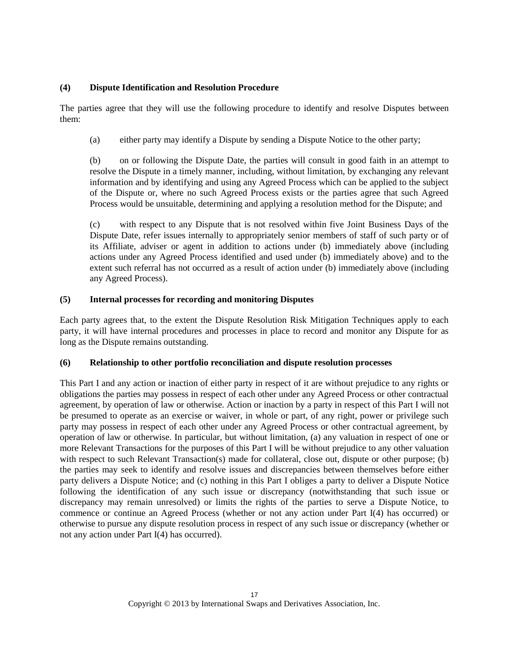## **(4) Dispute Identification and Resolution Procedure**

The parties agree that they will use the following procedure to identify and resolve Disputes between them:

(a) either party may identify a Dispute by sending a Dispute Notice to the other party;

(b) on or following the Dispute Date, the parties will consult in good faith in an attempt to resolve the Dispute in a timely manner, including, without limitation, by exchanging any relevant information and by identifying and using any Agreed Process which can be applied to the subject of the Dispute or, where no such Agreed Process exists or the parties agree that such Agreed Process would be unsuitable, determining and applying a resolution method for the Dispute; and

(c) with respect to any Dispute that is not resolved within five Joint Business Days of the Dispute Date, refer issues internally to appropriately senior members of staff of such party or of its Affiliate, adviser or agent in addition to actions under (b) immediately above (including actions under any Agreed Process identified and used under (b) immediately above) and to the extent such referral has not occurred as a result of action under (b) immediately above (including any Agreed Process).

## **(5) Internal processes for recording and monitoring Disputes**

Each party agrees that, to the extent the Dispute Resolution Risk Mitigation Techniques apply to each party, it will have internal procedures and processes in place to record and monitor any Dispute for as long as the Dispute remains outstanding.

### **(6) Relationship to other portfolio reconciliation and dispute resolution processes**

This Part I and any action or inaction of either party in respect of it are without prejudice to any rights or obligations the parties may possess in respect of each other under any Agreed Process or other contractual agreement, by operation of law or otherwise. Action or inaction by a party in respect of this Part I will not be presumed to operate as an exercise or waiver, in whole or part, of any right, power or privilege such party may possess in respect of each other under any Agreed Process or other contractual agreement, by operation of law or otherwise. In particular, but without limitation, (a) any valuation in respect of one or more Relevant Transactions for the purposes of this Part I will be without prejudice to any other valuation with respect to such Relevant Transaction(s) made for collateral, close out, dispute or other purpose; (b) the parties may seek to identify and resolve issues and discrepancies between themselves before either party delivers a Dispute Notice; and (c) nothing in this Part I obliges a party to deliver a Dispute Notice following the identification of any such issue or discrepancy (notwithstanding that such issue or discrepancy may remain unresolved) or limits the rights of the parties to serve a Dispute Notice, to commence or continue an Agreed Process (whether or not any action under Part I(4) has occurred) or otherwise to pursue any dispute resolution process in respect of any such issue or discrepancy (whether or not any action under Part I(4) has occurred).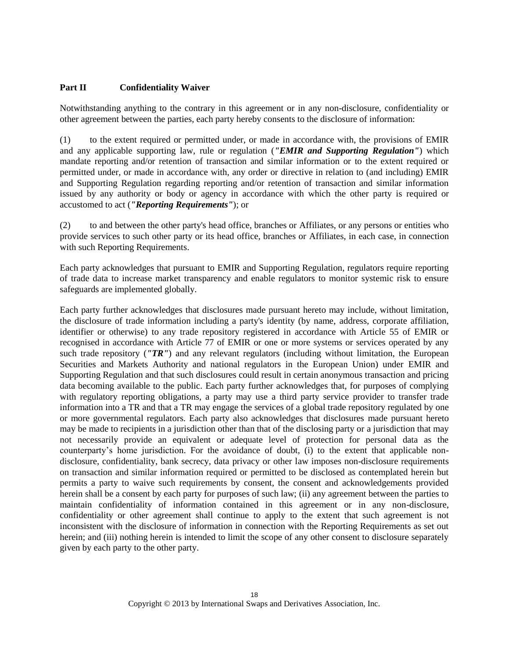## **Part II Confidentiality Waiver**

Notwithstanding anything to the contrary in this agreement or in any non-disclosure, confidentiality or other agreement between the parties, each party hereby consents to the disclosure of information:

(1) to the extent required or permitted under, or made in accordance with, the provisions of EMIR and any applicable supporting law, rule or regulation (*"EMIR and Supporting Regulation"*) which mandate reporting and/or retention of transaction and similar information or to the extent required or permitted under, or made in accordance with, any order or directive in relation to (and including) EMIR and Supporting Regulation regarding reporting and/or retention of transaction and similar information issued by any authority or body or agency in accordance with which the other party is required or accustomed to act (*"Reporting Requirements"*); or

(2) to and between the other party's head office, branches or Affiliates, or any persons or entities who provide services to such other party or its head office, branches or Affiliates, in each case, in connection with such Reporting Requirements.

Each party acknowledges that pursuant to EMIR and Supporting Regulation, regulators require reporting of trade data to increase market transparency and enable regulators to monitor systemic risk to ensure safeguards are implemented globally.

Each party further acknowledges that disclosures made pursuant hereto may include, without limitation, the disclosure of trade information including a party's identity (by name, address, corporate affiliation, identifier or otherwise) to any trade repository registered in accordance with Article 55 of EMIR or recognised in accordance with Article 77 of EMIR or one or more systems or services operated by any such trade repository (*"TR"*) and any relevant regulators (including without limitation, the European Securities and Markets Authority and national regulators in the European Union) under EMIR and Supporting Regulation and that such disclosures could result in certain anonymous transaction and pricing data becoming available to the public. Each party further acknowledges that, for purposes of complying with regulatory reporting obligations, a party may use a third party service provider to transfer trade information into a TR and that a TR may engage the services of a global trade repository regulated by one or more governmental regulators. Each party also acknowledges that disclosures made pursuant hereto may be made to recipients in a jurisdiction other than that of the disclosing party or a jurisdiction that may not necessarily provide an equivalent or adequate level of protection for personal data as the counterparty's home jurisdiction. For the avoidance of doubt, (i) to the extent that applicable nondisclosure, confidentiality, bank secrecy, data privacy or other law imposes non-disclosure requirements on transaction and similar information required or permitted to be disclosed as contemplated herein but permits a party to waive such requirements by consent, the consent and acknowledgements provided herein shall be a consent by each party for purposes of such law; (ii) any agreement between the parties to maintain confidentiality of information contained in this agreement or in any non-disclosure, confidentiality or other agreement shall continue to apply to the extent that such agreement is not inconsistent with the disclosure of information in connection with the Reporting Requirements as set out herein; and (iii) nothing herein is intended to limit the scope of any other consent to disclosure separately given by each party to the other party.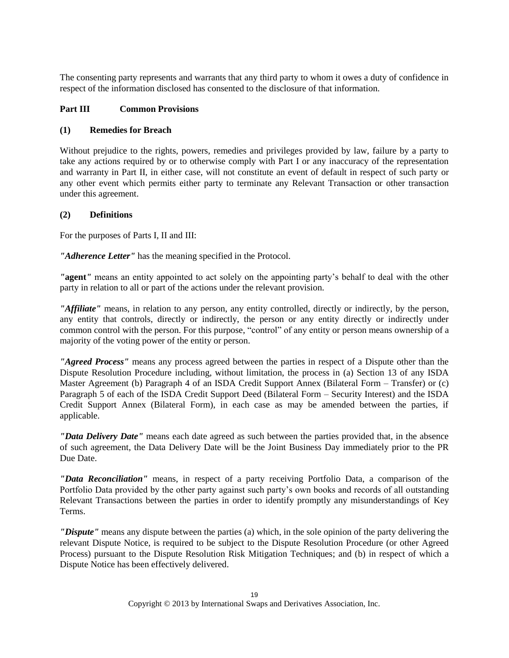The consenting party represents and warrants that any third party to whom it owes a duty of confidence in respect of the information disclosed has consented to the disclosure of that information.

# **Part III Common Provisions**

### **(1) Remedies for Breach**

Without prejudice to the rights, powers, remedies and privileges provided by law, failure by a party to take any actions required by or to otherwise comply with Part I or any inaccuracy of the representation and warranty in Part II, in either case, will not constitute an event of default in respect of such party or any other event which permits either party to terminate any Relevant Transaction or other transaction under this agreement.

### **(2) Definitions**

For the purposes of Parts I, II and III:

*"Adherence Letter"* has the meaning specified in the Protocol.

*"***agent***"* means an entity appointed to act solely on the appointing party's behalf to deal with the other party in relation to all or part of the actions under the relevant provision.

*"Affiliate"* means, in relation to any person, any entity controlled, directly or indirectly, by the person, any entity that controls, directly or indirectly, the person or any entity directly or indirectly under common control with the person. For this purpose, "control" of any entity or person means ownership of a majority of the voting power of the entity or person.

*"Agreed Process"* means any process agreed between the parties in respect of a Dispute other than the Dispute Resolution Procedure including, without limitation, the process in (a) Section 13 of any ISDA Master Agreement (b) Paragraph 4 of an ISDA Credit Support Annex (Bilateral Form – Transfer) or (c) Paragraph 5 of each of the ISDA Credit Support Deed (Bilateral Form – Security Interest) and the ISDA Credit Support Annex (Bilateral Form), in each case as may be amended between the parties, if applicable.

*"Data Delivery Date"* means each date agreed as such between the parties provided that, in the absence of such agreement, the Data Delivery Date will be the Joint Business Day immediately prior to the PR Due Date.

*"Data Reconciliation"* means, in respect of a party receiving Portfolio Data, a comparison of the Portfolio Data provided by the other party against such party's own books and records of all outstanding Relevant Transactions between the parties in order to identify promptly any misunderstandings of Key Terms.

*"Dispute"* means any dispute between the parties (a) which, in the sole opinion of the party delivering the relevant Dispute Notice, is required to be subject to the Dispute Resolution Procedure (or other Agreed Process) pursuant to the Dispute Resolution Risk Mitigation Techniques; and (b) in respect of which a Dispute Notice has been effectively delivered.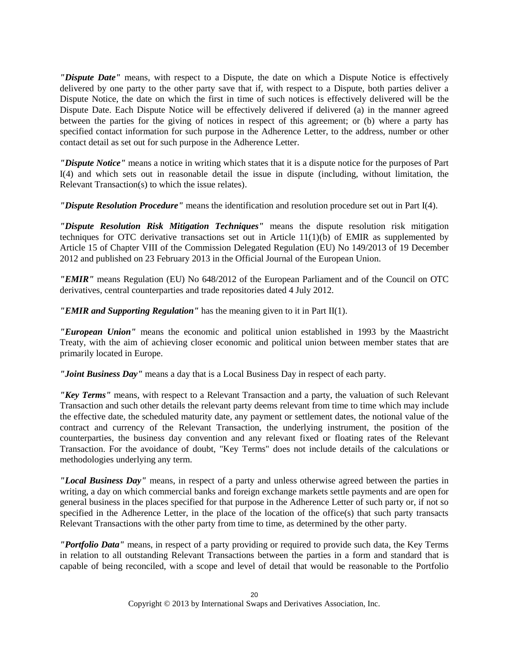*"Dispute Date"* means, with respect to a Dispute, the date on which a Dispute Notice is effectively delivered by one party to the other party save that if, with respect to a Dispute, both parties deliver a Dispute Notice, the date on which the first in time of such notices is effectively delivered will be the Dispute Date. Each Dispute Notice will be effectively delivered if delivered (a) in the manner agreed between the parties for the giving of notices in respect of this agreement; or (b) where a party has specified contact information for such purpose in the Adherence Letter, to the address, number or other contact detail as set out for such purpose in the Adherence Letter.

*"Dispute Notice"* means a notice in writing which states that it is a dispute notice for the purposes of Part I(4) and which sets out in reasonable detail the issue in dispute (including, without limitation, the Relevant Transaction(s) to which the issue relates).

*"Dispute Resolution Procedure"* means the identification and resolution procedure set out in Part I(4).

*"Dispute Resolution Risk Mitigation Techniques"* means the dispute resolution risk mitigation techniques for OTC derivative transactions set out in Article 11(1)(b) of EMIR as supplemented by Article 15 of Chapter VIII of the Commission Delegated Regulation (EU) No 149/2013 of 19 December 2012 and published on 23 February 2013 in the Official Journal of the European Union.

*"EMIR"* means Regulation (EU) No 648/2012 of the European Parliament and of the Council on OTC derivatives, central counterparties and trade repositories dated 4 July 2012.

*"EMIR and Supporting Regulation"* has the meaning given to it in Part II(1).

*"European Union"* means the economic and political union established in 1993 by the Maastricht Treaty, with the aim of achieving closer economic and political union between member states that are primarily located in Europe.

*"Joint Business Day"* means a day that is a Local Business Day in respect of each party.

*"Key Terms"* means, with respect to a Relevant Transaction and a party, the valuation of such Relevant Transaction and such other details the relevant party deems relevant from time to time which may include the effective date, the scheduled maturity date, any payment or settlement dates, the notional value of the contract and currency of the Relevant Transaction, the underlying instrument, the position of the counterparties, the business day convention and any relevant fixed or floating rates of the Relevant Transaction. For the avoidance of doubt, "Key Terms" does not include details of the calculations or methodologies underlying any term.

*"Local Business Day"* means, in respect of a party and unless otherwise agreed between the parties in writing, a day on which commercial banks and foreign exchange markets settle payments and are open for general business in the places specified for that purpose in the Adherence Letter of such party or, if not so specified in the Adherence Letter, in the place of the location of the office(s) that such party transacts Relevant Transactions with the other party from time to time, as determined by the other party.

*"Portfolio Data"* means, in respect of a party providing or required to provide such data, the Key Terms in relation to all outstanding Relevant Transactions between the parties in a form and standard that is capable of being reconciled, with a scope and level of detail that would be reasonable to the Portfolio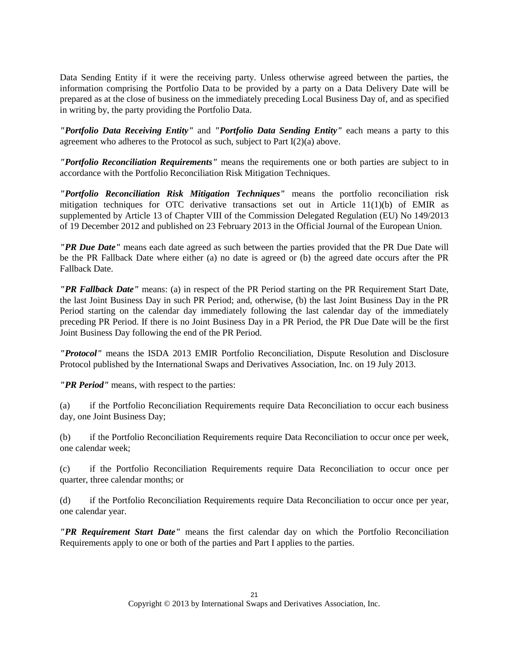Data Sending Entity if it were the receiving party. Unless otherwise agreed between the parties, the information comprising the Portfolio Data to be provided by a party on a Data Delivery Date will be prepared as at the close of business on the immediately preceding Local Business Day of, and as specified in writing by, the party providing the Portfolio Data.

*"Portfolio Data Receiving Entity"* and *"Portfolio Data Sending Entity"* each means a party to this agreement who adheres to the Protocol as such, subject to Part I(2)(a) above.

*"Portfolio Reconciliation Requirements"* means the requirements one or both parties are subject to in accordance with the Portfolio Reconciliation Risk Mitigation Techniques.

*"Portfolio Reconciliation Risk Mitigation Techniques"* means the portfolio reconciliation risk mitigation techniques for OTC derivative transactions set out in Article  $11(1)(b)$  of EMIR as supplemented by Article 13 of Chapter VIII of the Commission Delegated Regulation (EU) No 149/2013 of 19 December 2012 and published on 23 February 2013 in the Official Journal of the European Union.

*"PR Due Date"* means each date agreed as such between the parties provided that the PR Due Date will be the PR Fallback Date where either (a) no date is agreed or (b) the agreed date occurs after the PR Fallback Date.

*"PR Fallback Date"* means: (a) in respect of the PR Period starting on the PR Requirement Start Date, the last Joint Business Day in such PR Period; and, otherwise, (b) the last Joint Business Day in the PR Period starting on the calendar day immediately following the last calendar day of the immediately preceding PR Period. If there is no Joint Business Day in a PR Period, the PR Due Date will be the first Joint Business Day following the end of the PR Period.

*"Protocol"* means the ISDA 2013 EMIR Portfolio Reconciliation, Dispute Resolution and Disclosure Protocol published by the International Swaps and Derivatives Association, Inc. on 19 July 2013.

*"PR Period"* means, with respect to the parties:

(a) if the Portfolio Reconciliation Requirements require Data Reconciliation to occur each business day, one Joint Business Day;

(b) if the Portfolio Reconciliation Requirements require Data Reconciliation to occur once per week, one calendar week;

(c) if the Portfolio Reconciliation Requirements require Data Reconciliation to occur once per quarter, three calendar months; or

(d) if the Portfolio Reconciliation Requirements require Data Reconciliation to occur once per year, one calendar year.

*"PR Requirement Start Date"* means the first calendar day on which the Portfolio Reconciliation Requirements apply to one or both of the parties and Part I applies to the parties.